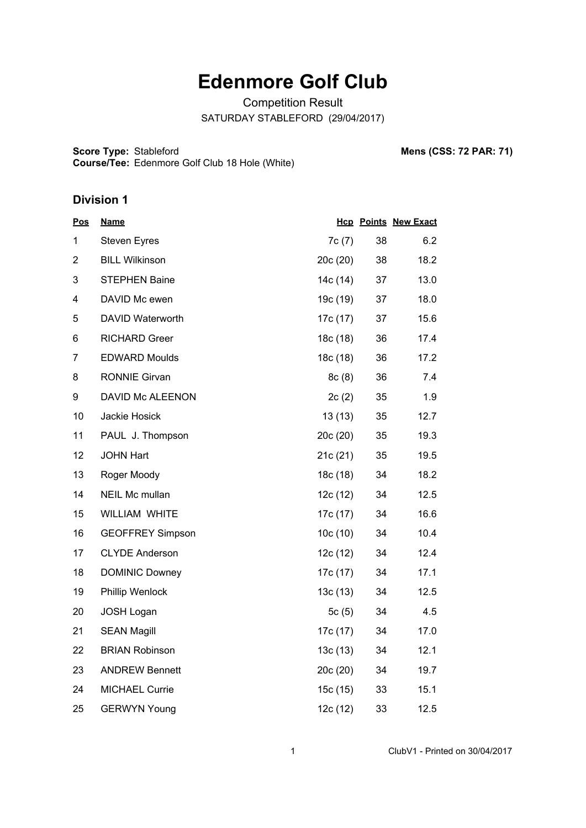# **Edenmore Golf Club**

Competition Result SATURDAY STABLEFORD (29/04/2017)

**Score Type: Course/Tee:** Stableford **Mens (CSS: 72 PAR: 71)** Edenmore Golf Club 18 Hole (White)

| <b>Pos</b>     | <b>Name</b>             |          |    | <b>Hcp Points New Exact</b> |
|----------------|-------------------------|----------|----|-----------------------------|
| 1              | <b>Steven Eyres</b>     | 7c(7)    | 38 | 6.2                         |
| $\overline{2}$ | <b>BILL Wilkinson</b>   | 20c(20)  | 38 | 18.2                        |
| 3              | <b>STEPHEN Baine</b>    | 14c (14) | 37 | 13.0                        |
| 4              | DAVID Mc ewen           | 19c (19) | 37 | 18.0                        |
| 5              | DAVID Waterworth        | 17c (17) | 37 | 15.6                        |
| 6              | <b>RICHARD Greer</b>    | 18c(18)  | 36 | 17.4                        |
| $\overline{7}$ | <b>EDWARD Moulds</b>    | 18c(18)  | 36 | 17.2                        |
| 8              | <b>RONNIE Girvan</b>    | 8c(8)    | 36 | 7.4                         |
| 9              | DAVID Mc ALEENON        | 2c(2)    | 35 | 1.9                         |
| 10             | Jackie Hosick           | 13(13)   | 35 | 12.7                        |
| 11             | PAUL J. Thompson        | 20c(20)  | 35 | 19.3                        |
| 12             | <b>JOHN Hart</b>        | 21c(21)  | 35 | 19.5                        |
| 13             | Roger Moody             | 18c (18) | 34 | 18.2                        |
| 14             | NEIL Mc mullan          | 12c (12) | 34 | 12.5                        |
| 15             | WILLIAM WHITE           | 17c (17) | 34 | 16.6                        |
| 16             | <b>GEOFFREY Simpson</b> | 10c(10)  | 34 | 10.4                        |
| 17             | <b>CLYDE Anderson</b>   | 12c(12)  | 34 | 12.4                        |
| 18             | <b>DOMINIC Downey</b>   | 17c (17) | 34 | 17.1                        |
| 19             | Phillip Wenlock         | 13c(13)  | 34 | 12.5                        |
| 20             | <b>JOSH Logan</b>       | 5c(5)    | 34 | 4.5                         |
| 21             | <b>SEAN Magill</b>      | 17c (17) | 34 | 17.0                        |
| 22             | <b>BRIAN Robinson</b>   | 13c(13)  | 34 | 12.1                        |
| 23             | <b>ANDREW Bennett</b>   | 20c (20) | 34 | 19.7                        |
| 24             | <b>MICHAEL Currie</b>   | 15c(15)  | 33 | 15.1                        |
| 25             | <b>GERWYN Young</b>     | 12c (12) | 33 | 12.5                        |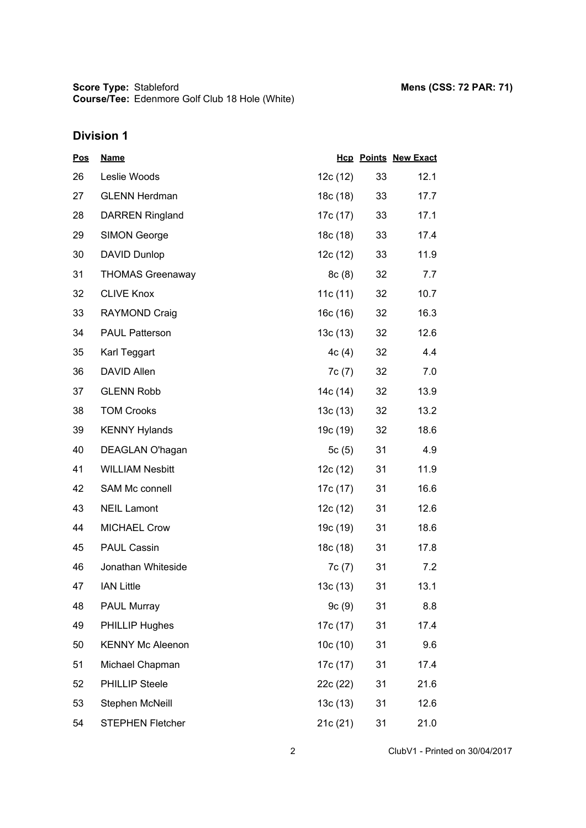| <u>Pos</u> | <b>Name</b>             |            |    | <b>Hcp Points New Exact</b> |
|------------|-------------------------|------------|----|-----------------------------|
| 26         | Leslie Woods            | 12c(12)    | 33 | 12.1                        |
| 27         | <b>GLENN Herdman</b>    | 18c (18)   | 33 | 17.7                        |
| 28         | <b>DARREN Ringland</b>  | 17c (17)   | 33 | 17.1                        |
| 29         | <b>SIMON George</b>     | 18c (18)   | 33 | 17.4                        |
| 30         | DAVID Dunlop            | 12c(12)    | 33 | 11.9                        |
| 31         | <b>THOMAS Greenaway</b> | 8c(8)      | 32 | 7.7                         |
| 32         | <b>CLIVE Knox</b>       | 11c $(11)$ | 32 | 10.7                        |
| 33         | <b>RAYMOND Craig</b>    | 16c (16)   | 32 | 16.3                        |
| 34         | <b>PAUL Patterson</b>   | 13c(13)    | 32 | 12.6                        |
| 35         | Karl Teggart            | 4c(4)      | 32 | 4.4                         |
| 36         | <b>DAVID Allen</b>      | 7c (7)     | 32 | 7.0                         |
| 37         | <b>GLENN Robb</b>       | 14c (14)   | 32 | 13.9                        |
| 38         | <b>TOM Crooks</b>       | 13c(13)    | 32 | 13.2                        |
| 39         | <b>KENNY Hylands</b>    | 19c (19)   | 32 | 18.6                        |
| 40         | DEAGLAN O'hagan         | 5c(5)      | 31 | 4.9                         |
| 41         | <b>WILLIAM Nesbitt</b>  | 12c(12)    | 31 | 11.9                        |
| 42         | <b>SAM Mc connell</b>   | 17c (17)   | 31 | 16.6                        |
| 43         | <b>NEIL Lamont</b>      | 12c (12)   | 31 | 12.6                        |
| 44         | <b>MICHAEL Crow</b>     | 19c (19)   | 31 | 18.6                        |
| 45         | <b>PAUL Cassin</b>      | 18c (18)   | 31 | 17.8                        |
| 46         | Jonathan Whiteside      | 7c(7)      | 31 | 7.2                         |
| 47         | <b>IAN Little</b>       | 13c(13)    | 31 | 13.1                        |
| 48         | <b>PAUL Murray</b>      | 9c(9)      | 31 | 8.8                         |
| 49         | <b>PHILLIP Hughes</b>   | 17c (17)   | 31 | 17.4                        |
| 50         | <b>KENNY Mc Aleenon</b> | 10c(10)    | 31 | 9.6                         |
| 51         | Michael Chapman         | 17c (17)   | 31 | 17.4                        |
| 52         | <b>PHILLIP Steele</b>   | 22c (22)   | 31 | 21.6                        |
| 53         | Stephen McNeill         | 13c(13)    | 31 | 12.6                        |
| 54         | STEPHEN Fletcher        | 21c(21)    | 31 | 21.0                        |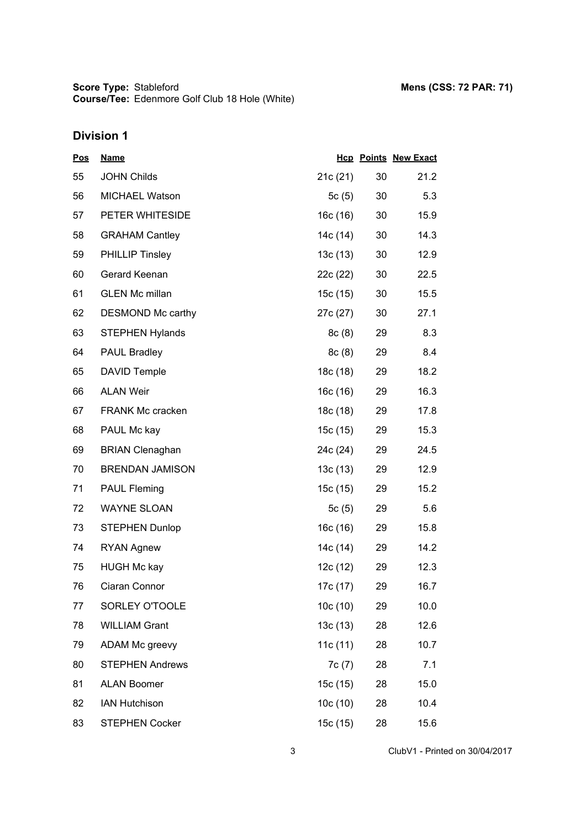| <u>Pos</u> | <b>Name</b>             |            |    | <b>Hcp Points New Exact</b> |
|------------|-------------------------|------------|----|-----------------------------|
| 55         | <b>JOHN Childs</b>      | 21c(21)    | 30 | 21.2                        |
| 56         | <b>MICHAEL Watson</b>   | 5 $c(5)$   | 30 | 5.3                         |
| 57         | PETER WHITESIDE         | 16c(16)    | 30 | 15.9                        |
| 58         | <b>GRAHAM Cantley</b>   | 14c (14)   | 30 | 14.3                        |
| 59         | <b>PHILLIP Tinsley</b>  | 13c(13)    | 30 | 12.9                        |
| 60         | Gerard Keenan           | 22c (22)   | 30 | 22.5                        |
| 61         | <b>GLEN Mc millan</b>   | 15c(15)    | 30 | 15.5                        |
| 62         | DESMOND Mc carthy       | 27c (27)   | 30 | 27.1                        |
| 63         | <b>STEPHEN Hylands</b>  | 8c(8)      | 29 | 8.3                         |
| 64         | <b>PAUL Bradley</b>     | 8c(8)      | 29 | 8.4                         |
| 65         | <b>DAVID Temple</b>     | 18c (18)   | 29 | 18.2                        |
| 66         | <b>ALAN Weir</b>        | 16c (16)   | 29 | 16.3                        |
| 67         | <b>FRANK Mc cracken</b> | 18c(18)    | 29 | 17.8                        |
| 68         | PAUL Mc kay             | 15c (15)   | 29 | 15.3                        |
| 69         | <b>BRIAN Clenaghan</b>  | 24c (24)   | 29 | 24.5                        |
| 70         | <b>BRENDAN JAMISON</b>  | 13c(13)    | 29 | 12.9                        |
| 71         | <b>PAUL Fleming</b>     | 15c (15)   | 29 | 15.2                        |
| 72         | <b>WAYNE SLOAN</b>      | 5 $c(5)$   | 29 | 5.6                         |
| 73         | <b>STEPHEN Dunlop</b>   | 16c(16)    | 29 | 15.8                        |
| 74         | <b>RYAN Agnew</b>       | 14c (14)   | 29 | 14.2                        |
| 75         | <b>HUGH Mc kay</b>      | 12c(12)    | 29 | 12.3                        |
| 76         | Ciaran Connor           | 17c (17)   | 29 | 16.7                        |
| 77         | SORLEY O'TOOLE          | 10c(10)    | 29 | 10.0                        |
| 78         | <b>WILLIAM Grant</b>    | 13c(13)    | 28 | 12.6                        |
| 79         | ADAM Mc greevy          | 11c $(11)$ | 28 | 10.7                        |
| 80         | <b>STEPHEN Andrews</b>  | 7c(7)      | 28 | 7.1                         |
| 81         | <b>ALAN Boomer</b>      | 15c(15)    | 28 | 15.0                        |
| 82         | <b>IAN Hutchison</b>    | 10c(10)    | 28 | 10.4                        |
| 83         | <b>STEPHEN Cocker</b>   | 15c (15)   | 28 | 15.6                        |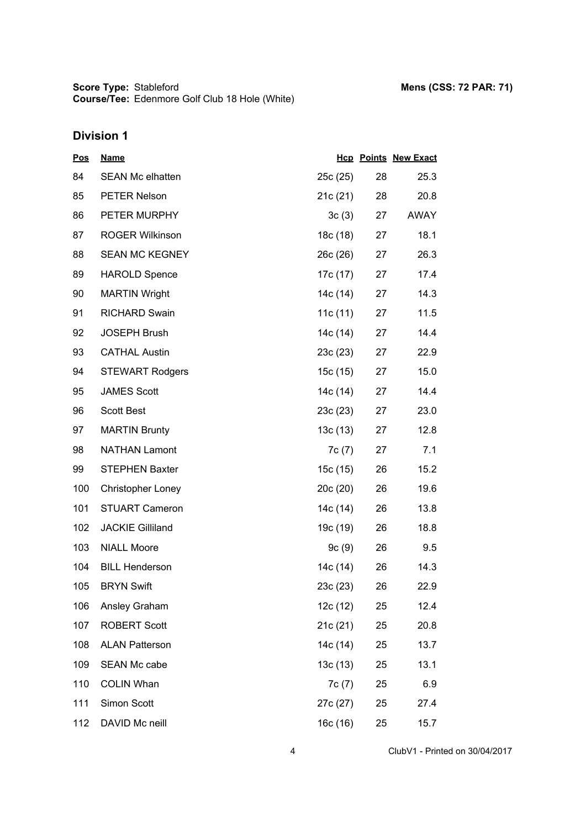**Score Type: Course/Tee:** Stableford **Mens (CSS: 72 PAR: 71)** Edenmore Golf Club 18 Hole (White)

# **Division 1**

| <u>Pos</u> | <b>Name</b>              |          |    | <b>Hcp Points New Exact</b> |
|------------|--------------------------|----------|----|-----------------------------|
| 84         | <b>SEAN Mc elhatten</b>  | 25c(25)  | 28 | 25.3                        |
| 85         | <b>PETER Nelson</b>      | 21c(21)  | 28 | 20.8                        |
| 86         | PETER MURPHY             | 3c(3)    | 27 | AWAY                        |
| 87         | <b>ROGER Wilkinson</b>   | 18c (18) | 27 | 18.1                        |
| 88         | <b>SEAN MC KEGNEY</b>    | 26c (26) | 27 | 26.3                        |
| 89         | <b>HAROLD Spence</b>     | 17c (17) | 27 | 17.4                        |
| 90         | <b>MARTIN Wright</b>     | 14c (14) | 27 | 14.3                        |
| 91         | <b>RICHARD Swain</b>     | 11c (11) | 27 | 11.5                        |
| 92         | <b>JOSEPH Brush</b>      | 14c (14) | 27 | 14.4                        |
| 93         | <b>CATHAL Austin</b>     | 23c(23)  | 27 | 22.9                        |
| 94         | <b>STEWART Rodgers</b>   | 15c (15) | 27 | 15.0                        |
| 95         | <b>JAMES Scott</b>       | 14c (14) | 27 | 14.4                        |
| 96         | <b>Scott Best</b>        | 23c(23)  | 27 | 23.0                        |
| 97         | <b>MARTIN Brunty</b>     | 13c (13) | 27 | 12.8                        |
| 98         | <b>NATHAN Lamont</b>     | 7c(7)    | 27 | 7.1                         |
| 99         | <b>STEPHEN Baxter</b>    | 15c(15)  | 26 | 15.2                        |
| 100        | <b>Christopher Loney</b> | 20c(20)  | 26 | 19.6                        |
| 101        | <b>STUART Cameron</b>    | 14c (14) | 26 | 13.8                        |
| 102        | <b>JACKIE Gilliland</b>  | 19c (19) | 26 | 18.8                        |
| 103        | <b>NIALL Moore</b>       | 9c(9)    | 26 | 9.5                         |
| 104        | <b>BILL Henderson</b>    | 14c (14) | 26 | 14.3                        |
| 105        | <b>BRYN Swift</b>        | 23c(23)  | 26 | 22.9                        |
| 106        | Ansley Graham            | 12c (12) | 25 | 12.4                        |
| 107        | <b>ROBERT Scott</b>      | 21c (21) | 25 | 20.8                        |
| 108        | <b>ALAN Patterson</b>    | 14c (14) | 25 | 13.7                        |
| 109        | SEAN Mc cabe             | 13c(13)  | 25 | 13.1                        |
| 110        | <b>COLIN Whan</b>        | 7c(7)    | 25 | 6.9                         |
| 111        | Simon Scott              | 27c (27) | 25 | 27.4                        |
| 112        | DAVID Mc neill           | 16c (16) | 25 | 15.7                        |

4 ClubV1 - Printed on 30/04/2017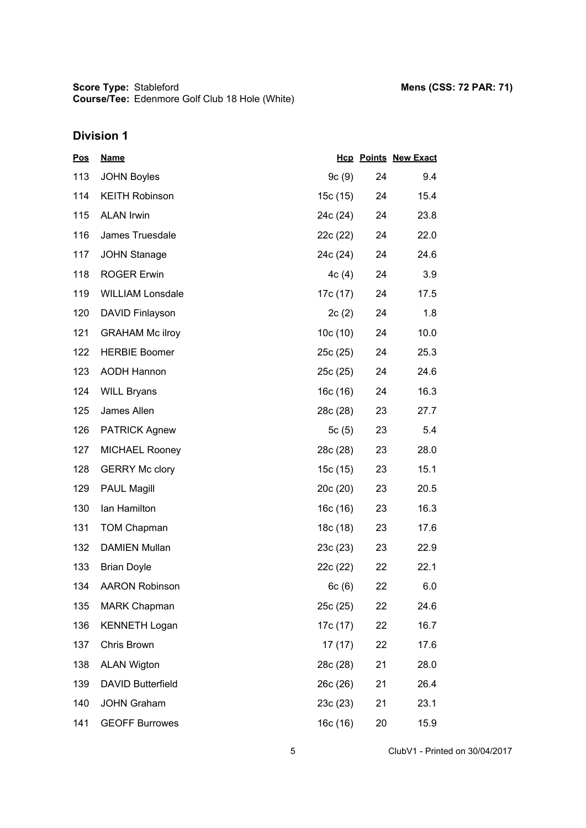| <b>Pos</b> | <b>Name</b>              |          |    | <b>Hcp Points New Exact</b> |
|------------|--------------------------|----------|----|-----------------------------|
| 113        | <b>JOHN Boyles</b>       | 9c(9)    | 24 | 9.4                         |
| 114        | <b>KEITH Robinson</b>    | 15c (15) | 24 | 15.4                        |
| 115        | <b>ALAN Irwin</b>        | 24c (24) | 24 | 23.8                        |
| 116        | James Truesdale          | 22c (22) | 24 | 22.0                        |
| 117        | <b>JOHN Stanage</b>      | 24c (24) | 24 | 24.6                        |
| 118        | <b>ROGER Erwin</b>       | 4c(4)    | 24 | 3.9                         |
| 119        | <b>WILLIAM Lonsdale</b>  | 17c (17) | 24 | 17.5                        |
| 120        | DAVID Finlayson          | 2c(2)    | 24 | 1.8                         |
| 121        | <b>GRAHAM Mc ilroy</b>   | 10c(10)  | 24 | 10.0                        |
| 122        | <b>HERBIE Boomer</b>     | 25c(25)  | 24 | 25.3                        |
| 123        | <b>AODH Hannon</b>       | 25c(25)  | 24 | 24.6                        |
| 124        | <b>WILL Bryans</b>       | 16c (16) | 24 | 16.3                        |
| 125        | James Allen              | 28c (28) | 23 | 27.7                        |
| 126        | <b>PATRICK Agnew</b>     | 5c(5)    | 23 | 5.4                         |
| 127        | <b>MICHAEL Rooney</b>    | 28c (28) | 23 | 28.0                        |
| 128        | <b>GERRY Mc clory</b>    | 15c (15) | 23 | 15.1                        |
| 129        | <b>PAUL Magill</b>       | 20c(20)  | 23 | 20.5                        |
| 130        | Ian Hamilton             | 16c (16) | 23 | 16.3                        |
| 131        | <b>TOM Chapman</b>       | 18c (18) | 23 | 17.6                        |
| 132        | <b>DAMIEN Mullan</b>     | 23c(23)  | 23 | 22.9                        |
| 133        | <b>Brian Doyle</b>       | 22c (22) | 22 | 22.1                        |
| 134        | <b>AARON Robinson</b>    | 6c(6)    | 22 | 6.0                         |
| 135        | <b>MARK Chapman</b>      | 25c(25)  | 22 | 24.6                        |
| 136        | <b>KENNETH Logan</b>     | 17c (17) | 22 | 16.7                        |
| 137        | Chris Brown              | 17(17)   | 22 | 17.6                        |
| 138        | <b>ALAN Wigton</b>       | 28c (28) | 21 | 28.0                        |
| 139        | <b>DAVID Butterfield</b> | 26c (26) | 21 | 26.4                        |
| 140        | <b>JOHN Graham</b>       | 23c (23) | 21 | 23.1                        |
| 141        | <b>GEOFF Burrowes</b>    | 16c (16) | 20 | 15.9                        |